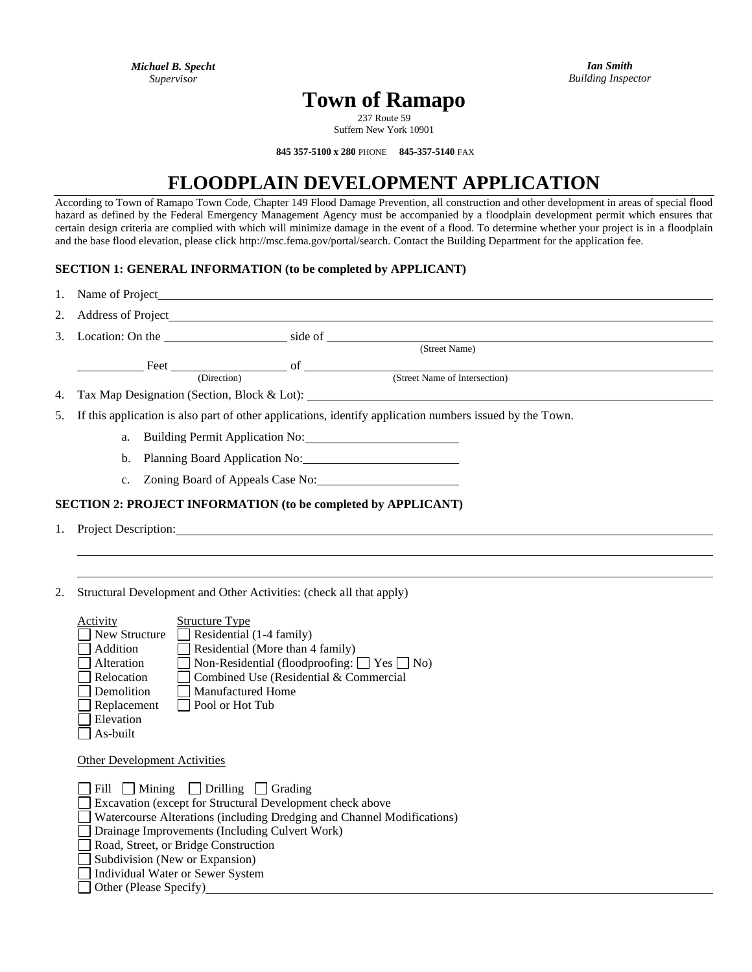*Ian Smith Building Inspector*

# **Town of Ramapo**

237 Route 59 Suffern New York 10901

**845 357-5100 x 280** PHONE **845-357-5140** FAX

## **FLOODPLAIN DEVELOPMENT APPLICATION**

According to Town of Ramapo Town Code, Chapter 149 Flood Damage Prevention, all construction and other development in areas of special flood hazard as defined by the Federal Emergency Management Agency must be accompanied by a floodplain development permit which ensures that certain design criteria are complied with which will minimize damage in the event of a flood. To determine whether your project is in a floodplain and the base flood elevation, please click http://msc.fema.gov/portal/search. Contact the Building Department for the application fee.

#### **SECTION 1: GENERAL INFORMATION (to be completed by APPLICANT)**

| 1.                                                                   |                                                                                                          | Name of Project <b>Name of Project</b>                                                                                                                                                                                         |  |                                                                                                                                                                                                                               |
|----------------------------------------------------------------------|----------------------------------------------------------------------------------------------------------|--------------------------------------------------------------------------------------------------------------------------------------------------------------------------------------------------------------------------------|--|-------------------------------------------------------------------------------------------------------------------------------------------------------------------------------------------------------------------------------|
| 2.                                                                   |                                                                                                          | Address of Project <b>Exercísies Exercísies Address of Project</b>                                                                                                                                                             |  |                                                                                                                                                                                                                               |
| 3.                                                                   |                                                                                                          |                                                                                                                                                                                                                                |  | Location: On the side of side of side of side of side of side of side of side of side of side of side of side of side of side of side of side of side of side of side of side of side of side of side of side of side of side |
|                                                                      |                                                                                                          |                                                                                                                                                                                                                                |  | (Street Name)                                                                                                                                                                                                                 |
|                                                                      |                                                                                                          | Feet of of the state of the state of the state of the state of the state of the state of the state of the state of the state of the state of the state of the state of the state of the state of the state of the state of the |  |                                                                                                                                                                                                                               |
|                                                                      | (Direction)                                                                                              |                                                                                                                                                                                                                                |  | (Street Name of Intersection)                                                                                                                                                                                                 |
| 4.                                                                   | Tax Map Designation (Section, Block & Lot):                                                              |                                                                                                                                                                                                                                |  |                                                                                                                                                                                                                               |
| 5.                                                                   | If this application is also part of other applications, identify application numbers issued by the Town. |                                                                                                                                                                                                                                |  |                                                                                                                                                                                                                               |
|                                                                      | a.                                                                                                       | Building Permit Application No:                                                                                                                                                                                                |  |                                                                                                                                                                                                                               |
|                                                                      | Planning Board Application No: 1996<br>b.                                                                |                                                                                                                                                                                                                                |  |                                                                                                                                                                                                                               |
|                                                                      |                                                                                                          | c. Zoning Board of Appeals Case No:                                                                                                                                                                                            |  |                                                                                                                                                                                                                               |
| <b>SECTION 2: PROJECT INFORMATION (to be completed by APPLICANT)</b> |                                                                                                          |                                                                                                                                                                                                                                |  |                                                                                                                                                                                                                               |
|                                                                      | 1. Project Description:                                                                                  |                                                                                                                                                                                                                                |  |                                                                                                                                                                                                                               |

2. Structural Development and Other Activities: (check all that apply)

| <b>Activity</b> | <b>Structure Type</b>                                        |
|-----------------|--------------------------------------------------------------|
| New Structure   | $\exists$ Residential (1-4 family)                           |
| Addition        | Residential (More than 4 family)                             |
| Alteration      | $\Box$ Non-Residential (floodproofing: $\Box$ Yes $\Box$ No) |
| Relocation      | Combined Use (Residential & Commercial                       |
| Demolition      | Manufactured Home                                            |
| Replacement     | Pool or Hot Tub                                              |
| Elevation       |                                                              |
| As-built        |                                                              |

Other Development Activities

| $\Box$ Fill $\Box$ Mining $\Box$ Drilling $\Box$ Grading               |
|------------------------------------------------------------------------|
| <b>Excavation</b> (except for Structural Development check above       |
| Watercourse Alterations (including Dredging and Channel Modifications) |
| Drainage Improvements (Including Culvert Work)                         |
| Road, Street, or Bridge Construction                                   |
| Subdivision (New or Expansion)                                         |
| Individual Water or Sewer System                                       |
| Other (Please Specify)                                                 |
|                                                                        |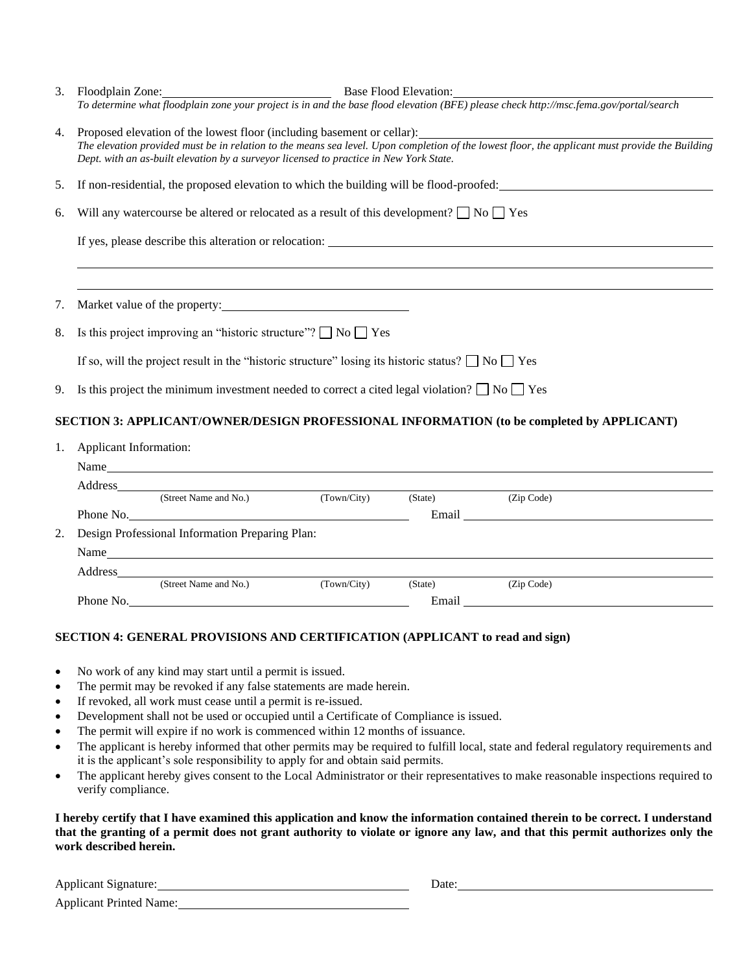| 3. | Base Flood Elevation:<br>Floodplain Zone: 2000 and 2000 and 2000 and 2000 and 2000 and 2000 and 2000 and 2000 and 2000 and 2000 and 200                                                                                       |  |  |
|----|-------------------------------------------------------------------------------------------------------------------------------------------------------------------------------------------------------------------------------|--|--|
|    | To determine what floodplain zone your project is in and the base flood elevation (BFE) please check http://msc.fema.gov/portal/search                                                                                        |  |  |
| 4. | Proposed elevation of the lowest floor (including basement or cellar):                                                                                                                                                        |  |  |
|    | The elevation provided must be in relation to the means sea level. Upon completion of the lowest floor, the applicant must provide the Building                                                                               |  |  |
|    | Dept. with an as-built elevation by a surveyor licensed to practice in New York State.                                                                                                                                        |  |  |
| 5. | If non-residential, the proposed elevation to which the building will be flood-proofed:                                                                                                                                       |  |  |
|    | Will any watercourse be altered or relocated as a result of this development? $\Box$ No $\Box$ Yes                                                                                                                            |  |  |
| 6. |                                                                                                                                                                                                                               |  |  |
|    | If yes, please describe this alteration or relocation:                                                                                                                                                                        |  |  |
|    |                                                                                                                                                                                                                               |  |  |
|    |                                                                                                                                                                                                                               |  |  |
| 7. |                                                                                                                                                                                                                               |  |  |
| 8. | Is this project improving an "historic structure"? $\Box$ No $\Box$ Yes                                                                                                                                                       |  |  |
|    | If so, will the project result in the "historic structure" losing its historic status? $\Box$ No $\Box$ Yes                                                                                                                   |  |  |
|    |                                                                                                                                                                                                                               |  |  |
| 9. | Is this project the minimum investment needed to correct a cited legal violation? $\Box$ No $\Box$ Yes                                                                                                                        |  |  |
|    | <b>SECTION 3: APPLICANT/OWNER/DESIGN PROFESSIONAL INFORMATION (to be completed by APPLICANT)</b>                                                                                                                              |  |  |
| 1. | <b>Applicant Information:</b>                                                                                                                                                                                                 |  |  |
|    | Name Name and the state of the state of the state of the state of the state of the state of the state of the state of the state of the state of the state of the state of the state of the state of the state of the state of |  |  |
|    |                                                                                                                                                                                                                               |  |  |

|    | Address                                         |                       |             |         |                                                                                                                      |  |
|----|-------------------------------------------------|-----------------------|-------------|---------|----------------------------------------------------------------------------------------------------------------------|--|
|    |                                                 | (Street Name and No.) | (Town/City) | (State) | (Zip Code)                                                                                                           |  |
|    |                                                 | Phone No.             |             | Email   | <u> 1980 - Jan Stein Stein Stein Stein Stein Stein Stein Stein Stein Stein Stein Stein Stein Stein Stein Stein S</u> |  |
| 2. | Design Professional Information Preparing Plan: |                       |             |         |                                                                                                                      |  |
|    | Name                                            |                       |             |         |                                                                                                                      |  |
|    | Address                                         |                       |             |         |                                                                                                                      |  |
|    |                                                 | (Street Name and No.) | (Town/City) | (State) | (Zip Code)                                                                                                           |  |
|    |                                                 | Phone No.<br>Email    |             |         |                                                                                                                      |  |
|    |                                                 |                       |             |         |                                                                                                                      |  |

## **SECTION 4: GENERAL PROVISIONS AND CERTIFICATION (APPLICANT to read and sign)**

- No work of any kind may start until a permit is issued.
- The permit may be revoked if any false statements are made herein.
- If revoked, all work must cease until a permit is re-issued.
- Development shall not be used or occupied until a Certificate of Compliance is issued.
- The permit will expire if no work is commenced within 12 months of issuance.
- The applicant is hereby informed that other permits may be required to fulfill local, state and federal regulatory requirements and it is the applicant's sole responsibility to apply for and obtain said permits.
- The applicant hereby gives consent to the Local Administrator or their representatives to make reasonable inspections required to verify compliance.

**I hereby certify that I have examined this application and know the information contained therein to be correct. I understand that the granting of a permit does not grant authority to violate or ignore any law, and that this permit authorizes only the work described herein.**

| <b>Applicant Signature:</b> | Date: |
|-----------------------------|-------|
|                             |       |

Applicant Printed Name: 2008